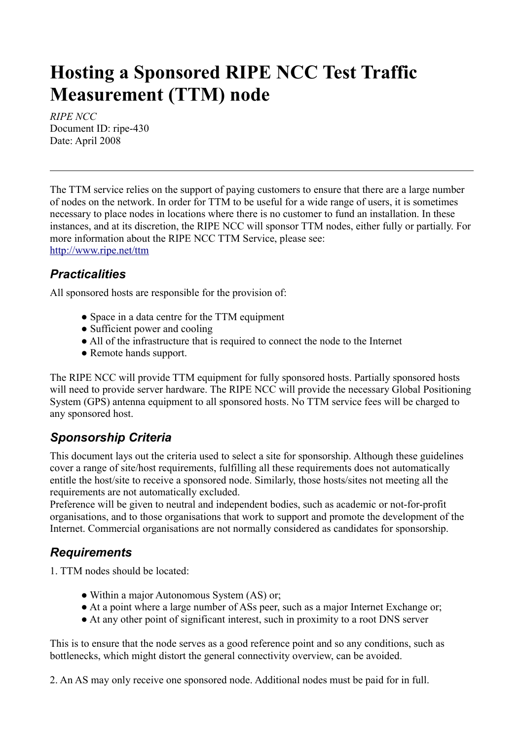## **Hosting a Sponsored RIPE NCC Test Traffic Measurement (TTM) node**

*RIPE NCC* Document ID: ripe-430 Date: April 2008

The TTM service relies on the support of paying customers to ensure that there are a large number of nodes on the network. In order for TTM to be useful for a wide range of users, it is sometimes necessary to place nodes in locations where there is no customer to fund an installation. In these instances, and at its discretion, the RIPE NCC will sponsor TTM nodes, either fully or partially. For more information about the RIPE NCC TTM Service, please see: <http://www.ripe.net/ttm>

## *Practicalities*

All sponsored hosts are responsible for the provision of:

- Space in a data centre for the TTM equipment
- Sufficient power and cooling
- All of the infrastructure that is required to connect the node to the Internet
- Remote hands support.

The RIPE NCC will provide TTM equipment for fully sponsored hosts. Partially sponsored hosts will need to provide server hardware. The RIPE NCC will provide the necessary Global Positioning System (GPS) antenna equipment to all sponsored hosts. No TTM service fees will be charged to any sponsored host.

## *Sponsorship Criteria*

This document lays out the criteria used to select a site for sponsorship. Although these guidelines cover a range of site/host requirements, fulfilling all these requirements does not automatically entitle the host/site to receive a sponsored node. Similarly, those hosts/sites not meeting all the requirements are not automatically excluded.

Preference will be given to neutral and independent bodies, such as academic or not-for-profit organisations, and to those organisations that work to support and promote the development of the Internet. Commercial organisations are not normally considered as candidates for sponsorship.

## *Requirements*

1. TTM nodes should be located:

- Within a major Autonomous System (AS) or:
- At a point where a large number of ASs peer, such as a major Internet Exchange or;
- At any other point of significant interest, such in proximity to a root DNS server

This is to ensure that the node serves as a good reference point and so any conditions, such as bottlenecks, which might distort the general connectivity overview, can be avoided.

2. An AS may only receive one sponsored node. Additional nodes must be paid for in full.